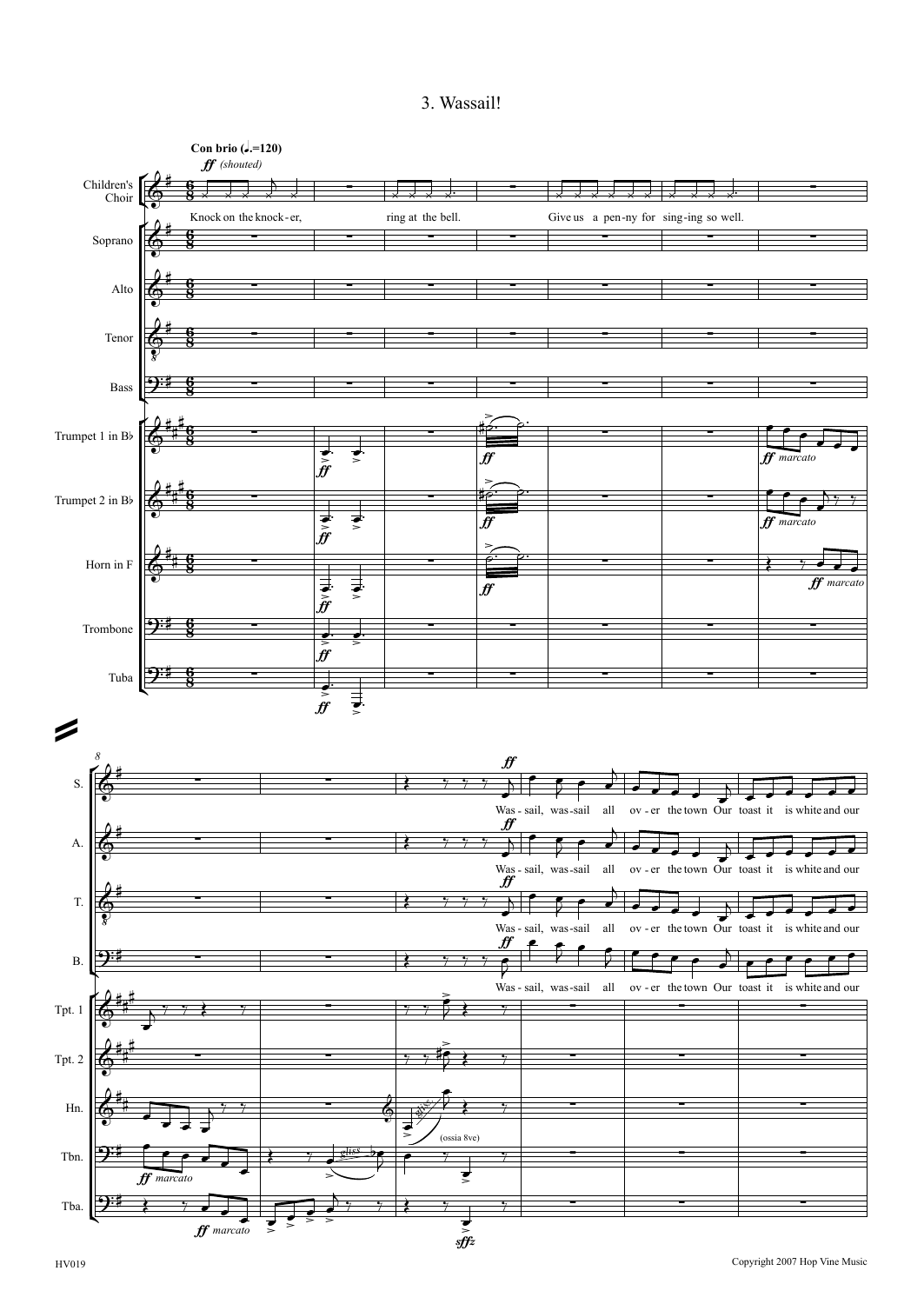## 3. Wassail!

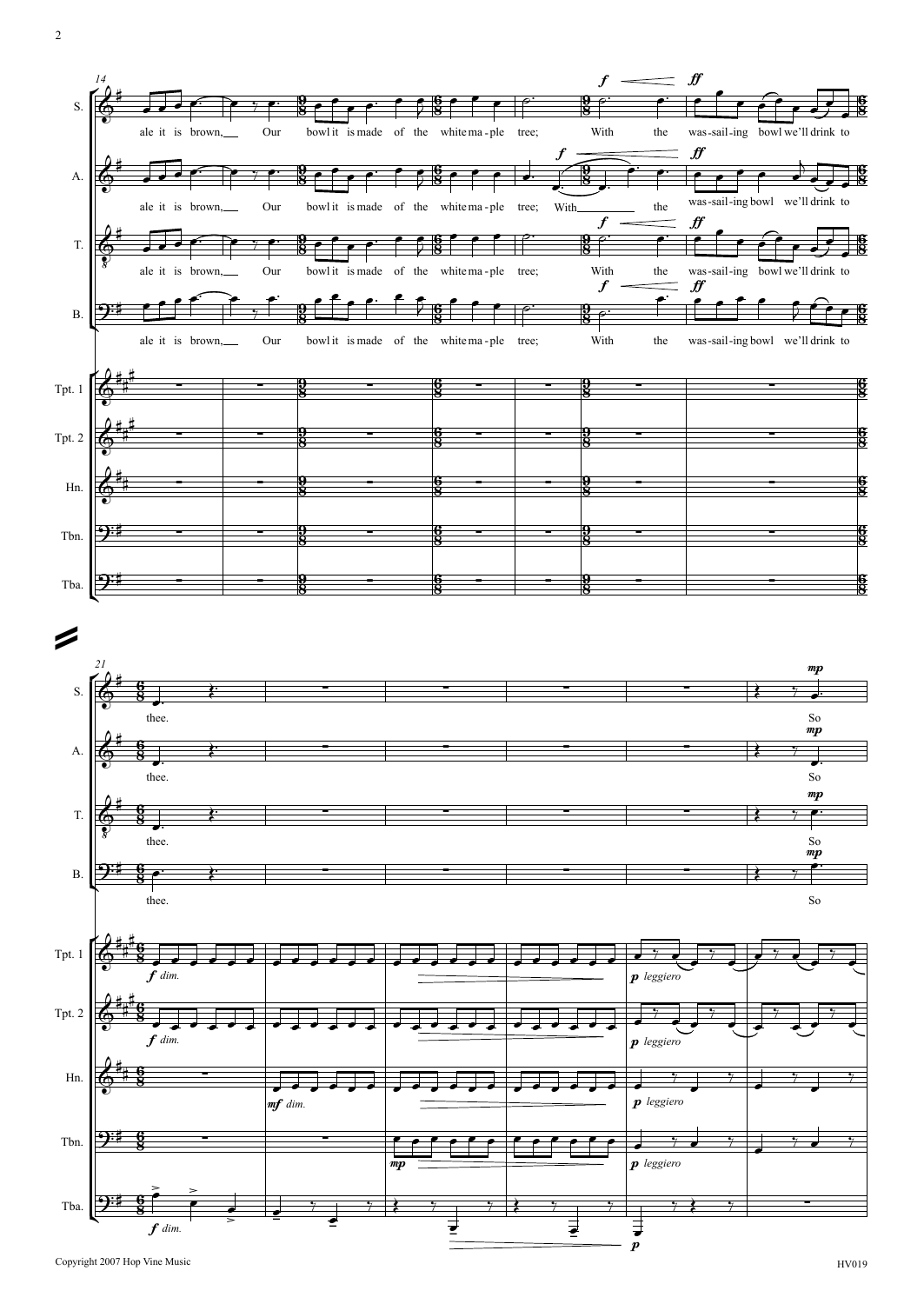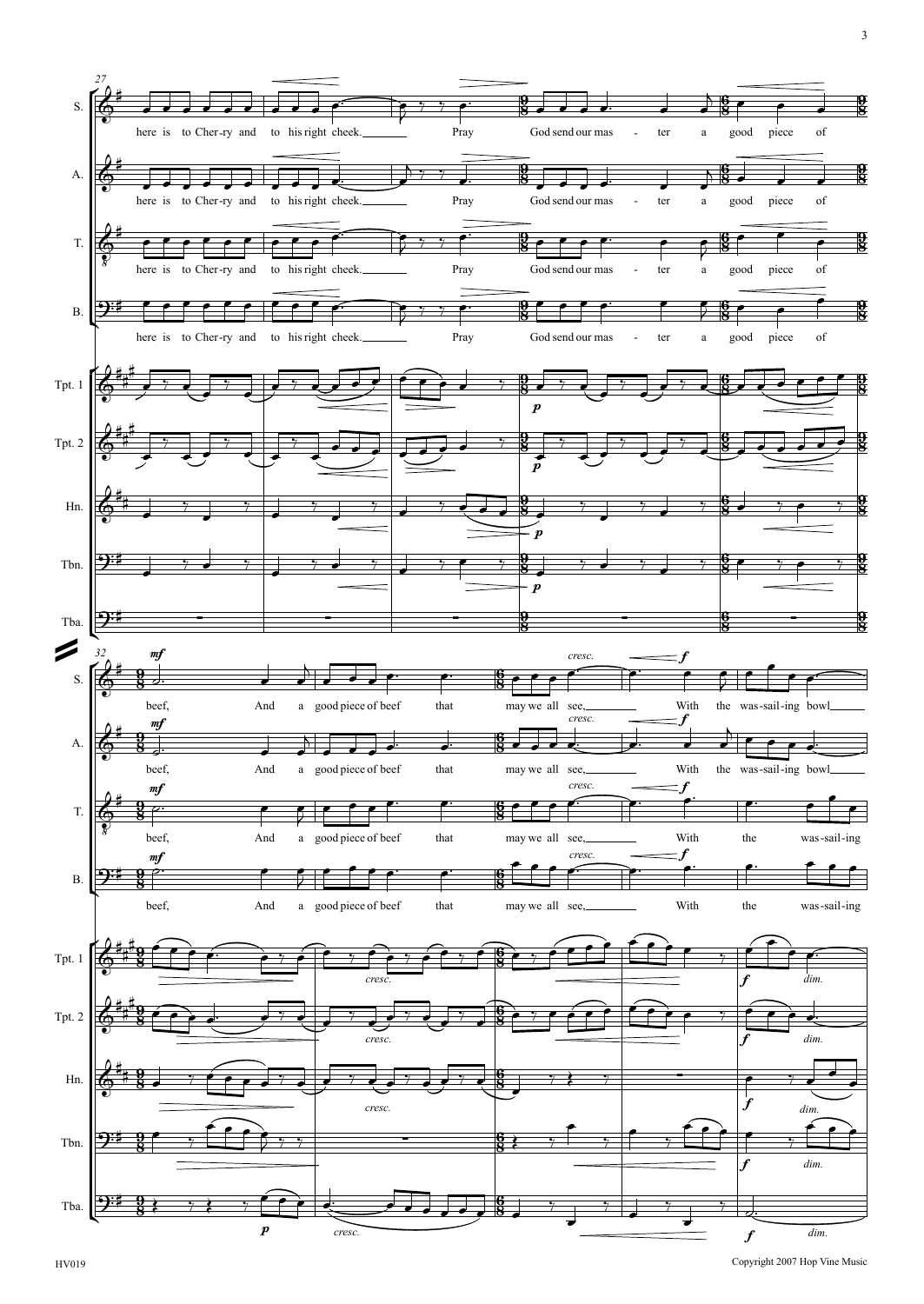

3